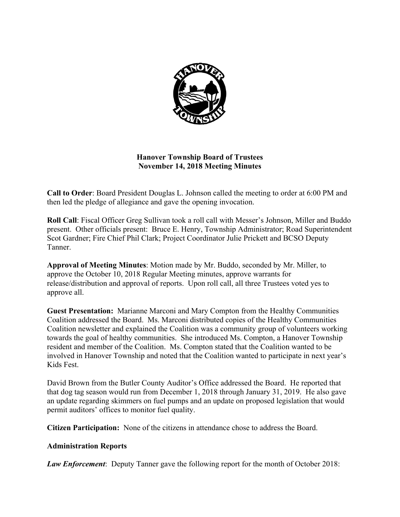

# **Hanover Township Board of Trustees November 14, 2018 Meeting Minutes**

**Call to Order**: Board President Douglas L. Johnson called the meeting to order at 6:00 PM and then led the pledge of allegiance and gave the opening invocation.

**Roll Call**: Fiscal Officer Greg Sullivan took a roll call with Messer's Johnson, Miller and Buddo present. Other officials present: Bruce E. Henry, Township Administrator; Road Superintendent Scot Gardner; Fire Chief Phil Clark; Project Coordinator Julie Prickett and BCSO Deputy Tanner.

**Approval of Meeting Minutes**: Motion made by Mr. Buddo, seconded by Mr. Miller, to approve the October 10, 2018 Regular Meeting minutes, approve warrants for release/distribution and approval of reports. Upon roll call, all three Trustees voted yes to approve all.

**Guest Presentation:** Marianne Marconi and Mary Compton from the Healthy Communities Coalition addressed the Board. Ms. Marconi distributed copies of the Healthy Communities Coalition newsletter and explained the Coalition was a community group of volunteers working towards the goal of healthy communities. She introduced Ms. Compton, a Hanover Township resident and member of the Coalition. Ms. Compton stated that the Coalition wanted to be involved in Hanover Township and noted that the Coalition wanted to participate in next year's Kids Fest.

David Brown from the Butler County Auditor's Office addressed the Board. He reported that that dog tag season would run from December 1, 2018 through January 31, 2019. He also gave an update regarding skimmers on fuel pumps and an update on proposed legislation that would permit auditors' offices to monitor fuel quality.

**Citizen Participation:** None of the citizens in attendance chose to address the Board.

## **Administration Reports**

*Law Enforcement*: Deputy Tanner gave the following report for the month of October 2018: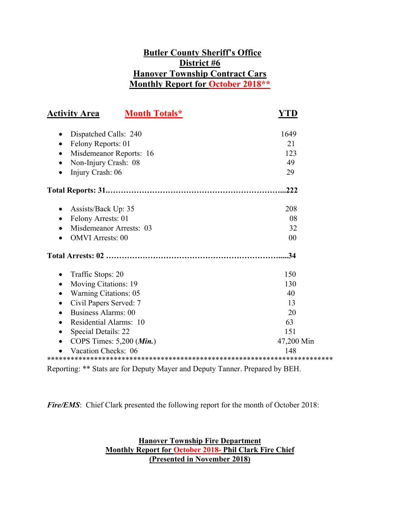# **Butler County Sheriff's Office District #6 Hanover Township Contract Cars Monthly Report for October 2018\*\***

| <b>Activity Area</b><br><b>Month Totals*</b> | YTD        |  |
|----------------------------------------------|------------|--|
|                                              |            |  |
| Dispatched Calls: 240                        | 1649       |  |
| Felony Reports: 01<br>٠                      | 21         |  |
| Misdemeanor Reports: 16                      | 123        |  |
| Non-Injury Crash: 08<br>$\bullet$            | 49         |  |
| Injury Crash: 06<br>$\bullet$                | 29         |  |
|                                              | .222       |  |
| Assists/Back Up: 35                          | 208        |  |
| Felony Arrests: 01<br>$\bullet$              | 08         |  |
| Misdemeanor Arrests: 03<br>$\bullet$         | 32         |  |
| <b>OMVI</b> Arrests: 00                      | 00         |  |
|                                              | .34        |  |
| Traffic Stops: 20<br>$\bullet$               | 150        |  |
| Moving Citations: 19                         | 130        |  |
| <b>Warning Citations: 05</b>                 | 40         |  |
| Civil Papers Served: 7                       | 13         |  |
| <b>Business Alarms: 00</b><br>$\bullet$      | 20         |  |
| Residential Alarms: 10<br>$\bullet$          | 63         |  |
| Special Details: 22<br>$\bullet$             | 151        |  |
| COPS Times: $5,200$ ( <i>Min.</i> )          | 47,200 Min |  |
| Vacation Checks: 06                          | 148        |  |
|                                              |            |  |

Reporting: \*\* Stats are for Deputy Mayer and Deputy Tanner. Prepared by BEH.

*Fire/EMS*: Chief Clark presented the following report for the month of October 2018:

**Hanover Township Fire Department Monthly Report for October 2018- Phil Clark Fire Chief (Presented in November 2018)**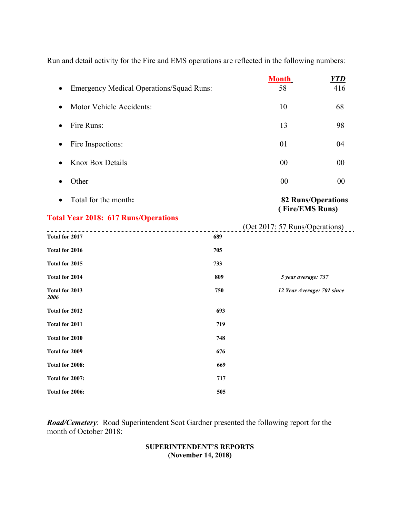Run and detail activity for the Fire and EMS operations are reflected in the following numbers:

|                                                 |     | <b>Month</b>                                 | <b>YTD</b> |
|-------------------------------------------------|-----|----------------------------------------------|------------|
| <b>Emergency Medical Operations/Squad Runs:</b> |     | 58                                           | 416        |
| Motor Vehicle Accidents:<br>$\bullet$           |     | 10                                           | 68         |
| Fire Runs:<br>$\bullet$                         |     | 13                                           | 98         |
| Fire Inspections:                               |     | 01                                           | 04         |
| <b>Knox Box Details</b><br>$\bullet$            |     | 00                                           | 00         |
| Other<br>$\bullet$                              |     | 00                                           | 00         |
| Total for the month:                            |     | <b>82 Runs/Operations</b><br>(Fire/EMS Runs) |            |
| <b>Total Year 2018: 617 Runs/Operations</b>     |     |                                              |            |
| <u>.</u>                                        |     | (Oct 2017: 57 Runs/Operations)               |            |
| Total for 2017                                  | 689 |                                              |            |
| Total for 2016                                  | 705 |                                              |            |
| Total for 2015                                  | 733 |                                              |            |
| <b>Total for 2014</b>                           | 809 | 5 year average: 737                          |            |
| Total for 2013<br>2006                          | 750 | 12 Year Average: 701 since                   |            |
| Total for 2012                                  | 693 |                                              |            |
| <b>Total for 2011</b>                           | 719 |                                              |            |
| Total for 2010                                  | 748 |                                              |            |
| Total for 2009                                  | 676 |                                              |            |
| Total for 2008:                                 | 669 |                                              |            |
| Total for 2007:                                 | 717 |                                              |            |
| Total for 2006:                                 | 505 |                                              |            |

*Road/Cemetery*: Road Superintendent Scot Gardner presented the following report for the month of October 2018:

# **SUPERINTENDENT'S REPORTS (November 14, 2018)**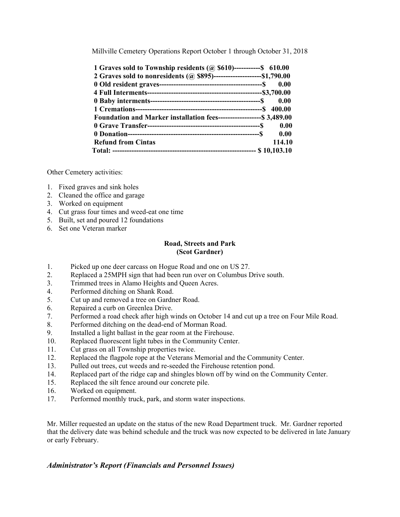Millville Cemetery Operations Report October 1 through October 31, 2018

| 1 Graves sold to Township residents (@ \$610)------------\$ 610.00      |        |
|-------------------------------------------------------------------------|--------|
| 2 Graves sold to nonresidents (@ \$895)----------------------\$1,790.00 |        |
|                                                                         | 0.00   |
|                                                                         |        |
| 0.00                                                                    |        |
|                                                                         |        |
| Foundation and Marker installation fees--------------------\$ 3,489.00  |        |
|                                                                         | 0.00   |
|                                                                         |        |
| <b>Refund from Cintas</b>                                               | 114.10 |
|                                                                         |        |

Other Cemetery activities:

- 1. Fixed graves and sink holes
- 2. Cleaned the office and garage
- 3. Worked on equipment
- 4. Cut grass four times and weed-eat one time
- 5. Built, set and poured 12 foundations
- 6. Set one Veteran marker

### **Road, Streets and Park (Scot Gardner)**

- 1. Picked up one deer carcass on Hogue Road and one on US 27.
- 2. Replaced a 25MPH sign that had been run over on Columbus Drive south.
- 3. Trimmed trees in Alamo Heights and Queen Acres.
- 4. Performed ditching on Shank Road.
- 5. Cut up and removed a tree on Gardner Road.
- 6. Repaired a curb on Greenlea Drive.
- 7. Performed a road check after high winds on October 14 and cut up a tree on Four Mile Road.
- 8. Performed ditching on the dead-end of Morman Road.
- 9. Installed a light ballast in the gear room at the Firehouse.
- 10. Replaced fluorescent light tubes in the Community Center.
- 11. Cut grass on all Township properties twice.
- 12. Replaced the flagpole rope at the Veterans Memorial and the Community Center.
- 13. Pulled out trees, cut weeds and re-seeded the Firehouse retention pond.
- 14. Replaced part of the ridge cap and shingles blown off by wind on the Community Center.
- 15. Replaced the silt fence around our concrete pile.
- 16. Worked on equipment.
- 17. Performed monthly truck, park, and storm water inspections.

Mr. Miller requested an update on the status of the new Road Department truck. Mr. Gardner reported that the delivery date was behind schedule and the truck was now expected to be delivered in late January or early February.

## *Administrator's Report (Financials and Personnel Issues)*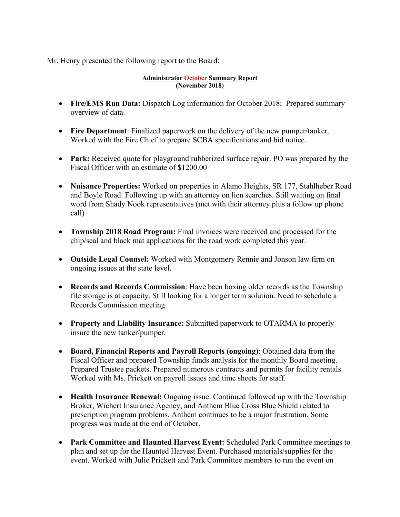Mr. Henry presented the following report to the Board:

#### **Administrator October Summary Report (November 2018)**

- Fire/EMS Run Data: Dispatch Log information for October 2018; Prepared summary overview of data.
- **Fire Department**: Finalized paperwork on the delivery of the new pumper/tanker. Worked with the Fire Chief to prepare SCBA specifications and bid notice.
- **Park:** Received quote for playground rubberized surface repair. PO was prepared by the Fiscal Officer with an estimate of \$1200.00
- **Nuisance Properties:** Worked on properties in Alamo Heights, SR 177, Stahlheber Road and Boyle Road. Following up with an attorney on lien searches. Still waiting on final word from Shady Nook representatives (met with their attorney plus a follow up phone call)
- **Township 2018 Road Program:** Final invoices were received and processed for the chip/seal and black mat applications for the road work completed this year.
- **Outside Legal Counsel:** Worked with Montgomery Rennie and Jonson law firm on ongoing issues at the state level.
- **Records and Records Commission**: Have been boxing older records as the Township file storage is at capacity. Still looking for a longer term solution. Need to schedule a Records Commission meeting.
- **Property and Liability Insurance:** Submitted paperwork to OTARMA to properly insure the new tanker/pumper.
- **Board, Financial Reports and Payroll Reports (ongoing)**: Obtained data from the Fiscal Officer and prepared Township funds analysis for the monthly Board meeting. Prepared Trustee packets. Prepared numerous contracts and permits for facility rentals. Worked with Ms. Prickett on payroll issues and time sheets for staff.
- **Health Insurance Renewal:** Ongoing issue: Continued followed up with the Township Broker, Wichert Insurance Agency, and Anthem Blue Cross Blue Shield related to prescription program problems. Anthem continues to be a major frustration. Some progress was made at the end of October.
- **Park Committee and Haunted Harvest Event:** Scheduled Park Committee meetings to plan and set up for the Haunted Harvest Event. Purchased materials/supplies for the event. Worked with Julie Prickett and Park Committee members to run the event on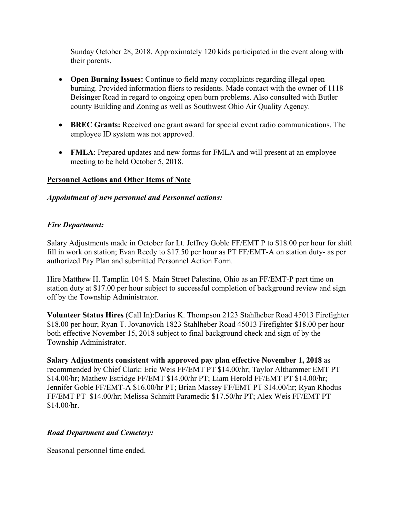Sunday October 28, 2018. Approximately 120 kids participated in the event along with their parents.

- **Open Burning Issues:** Continue to field many complaints regarding illegal open burning. Provided information fliers to residents. Made contact with the owner of 1118 Beisinger Road in regard to ongoing open burn problems. Also consulted with Butler county Building and Zoning as well as Southwest Ohio Air Quality Agency.
- **BREC Grants:** Received one grant award for special event radio communications. The employee ID system was not approved.
- **FMLA**: Prepared updates and new forms for FMLA and will present at an employee meeting to be held October 5, 2018.

# **Personnel Actions and Other Items of Note**

# *Appointment of new personnel and Personnel actions:*

## *Fire Department:*

Salary Adjustments made in October for Lt. Jeffrey Goble FF/EMT P to \$18.00 per hour for shift fill in work on station; Evan Reedy to \$17.50 per hour as PT FF/EMT-A on station duty- as per authorized Pay Plan and submitted Personnel Action Form.

Hire Matthew H. Tamplin 104 S. Main Street Palestine, Ohio as an FF/EMT-P part time on station duty at \$17.00 per hour subject to successful completion of background review and sign off by the Township Administrator.

**Volunteer Status Hires** (Call In):Darius K. Thompson 2123 Stahlheber Road 45013 Firefighter \$18.00 per hour; Ryan T. Jovanovich 1823 Stahlheber Road 45013 Firefighter \$18.00 per hour both effective November 15, 2018 subject to final background check and sign of by the Township Administrator.

**Salary Adjustments consistent with approved pay plan effective November 1, 2018** as recommended by Chief Clark: Eric Weis FF/EMT PT \$14.00/hr; Taylor Althammer EMT PT \$14.00/hr; Mathew Estridge FF/EMT \$14.00/hr PT; Liam Herold FF/EMT PT \$14.00/hr; Jennifer Goble FF/EMT-A \$16.00/hr PT; Brian Massey FF/EMT PT \$14.00/hr; Ryan Rhodus FF/EMT PT \$14.00/hr; Melissa Schmitt Paramedic \$17.50/hr PT; Alex Weis FF/EMT PT  $$14.00/hr.$ 

# *Road Department and Cemetery:*

Seasonal personnel time ended.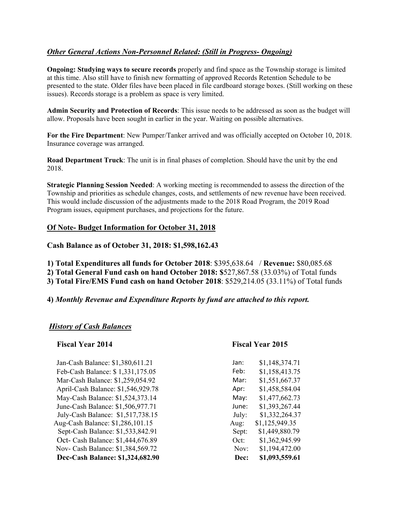# *Other General Actions Non-Personnel Related: (Still in Progress- Ongoing)*

**Ongoing: Studying ways to secure records** properly and find space as the Township storage is limited at this time. Also still have to finish new formatting of approved Records Retention Schedule to be presented to the state. Older files have been placed in file cardboard storage boxes. (Still working on these issues). Records storage is a problem as space is very limited.

**Admin Security and Protection of Records**: This issue needs to be addressed as soon as the budget will allow. Proposals have been sought in earlier in the year. Waiting on possible alternatives.

**For the Fire Department**: New Pumper/Tanker arrived and was officially accepted on October 10, 2018. Insurance coverage was arranged.

**Road Department Truck**: The unit is in final phases of completion. Should have the unit by the end 2018.

**Strategic Planning Session Needed**: A working meeting is recommended to assess the direction of the Township and priorities as schedule changes, costs, and settlements of new revenue have been received. This would include discussion of the adjustments made to the 2018 Road Program, the 2019 Road Program issues, equipment purchases, and projections for the future.

## **Of Note- Budget Information for October 31, 2018**

**Cash Balance as of October 31, 2018: \$1,598,162.43** 

**1) Total Expenditures all funds for October 2018**: \$395,638.64 / **Revenue:** \$80,085.68

**2) Total General Fund cash on hand October 2018: \$**527,867.58 (33.03%) of Total funds

**3) Total Fire/EMS Fund cash on hand October 2018**: \$529,214.05 (33.11%) of Total funds

#### **4)** *Monthly Revenue and Expenditure Reports by fund are attached to this report.*

## *History of Cash Balances*

#### **Fiscal Year 2014 Fiscal Year 2015**

| Jan-Cash Balance: \$1,380,611.21   | Jan:  | \$1,148,374.71 |
|------------------------------------|-------|----------------|
| Feb-Cash Balance: \$1,331,175.05   | Feb:  | \$1,158,413.75 |
| Mar-Cash Balance: \$1,259,054.92   | Mar:  | \$1,551,667.37 |
| April-Cash Balance: \$1,546,929.78 | Apr:  | \$1,458,584.04 |
| May-Cash Balance: \$1,524,373.14   | May:  | \$1,477,662.73 |
| June-Cash Balance: \$1,506,977.71  | June: | \$1,393,267.44 |
| July-Cash Balance: \$1,517,738.15  | July: | \$1,332,264.37 |
| Aug-Cash Balance: \$1,286,101.15   | Aug:  | \$1,125,949.35 |
| Sept-Cash Balance: \$1,533,842.91  | Sept: | \$1,449,880.79 |
| Oct- Cash Balance: \$1,444,676.89  | Oct:  | \$1,362,945.99 |
| Nov- Cash Balance: \$1,384,569.72  | Nov:  | \$1,194,472.00 |
| Dec-Cash Balance: \$1,324,682.90   | Dec:  | \$1,093,559.61 |

| Jan:  | \$1,148,374.71 |
|-------|----------------|
| Feb:  | \$1,158,413.75 |
| Mar:  | \$1,551,667.37 |
| Apr:  | \$1,458,584.04 |
| May:  | \$1,477,662.73 |
| June: | \$1,393,267.44 |
| July: | \$1,332,264.37 |
| Aug:  | \$1,125,949.35 |
| Sept: | \$1,449,880.79 |
| Oct:  | \$1,362,945.99 |
| Nov:  | \$1,194,472.00 |
| Dec:  | \$1,093,559.61 |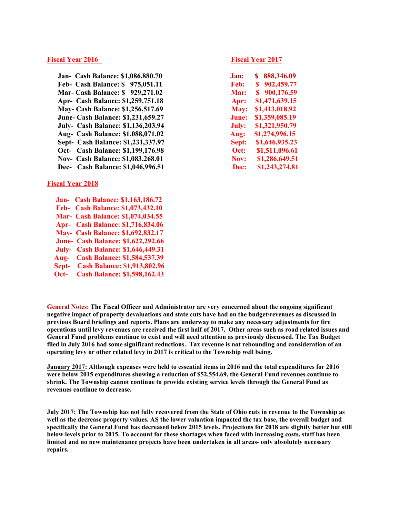#### **Fiscal Year 2016** Fiscal Year 2017

 **Jan- Cash Balance: \$1,086,880.70 Feb- Cash Balance: \$ 975,051.11 Mar- Cash Balance: \$ 929,271.02 Apr- Cash Balance: \$1,259,751.18 May- Cash Balance: \$1,256,517.69 June- Cash Balance: \$1,231,659.27 July- Cash Balance: \$1,136,203.94 Aug- Cash Balance: \$1,088,071.02 Sept- Cash Balance: \$1,231,337.97 Oct-** Cash Balance: \$1,199,176.98 **Nov- Cash Balance: \$1,083,268.01 Dec-** Cash Balance: \$1,046,996.51

#### **Fiscal Year 2018**

 **Jan- Cash Balance: \$1,163,186.72 Feb- Cash Balance: \$1,073,432.10 Mar- Cash Balance: \$1,074,034.55 Apr- Cash Balance: \$1,716,834.06 May- Cash Balance: \$1,692,832.17 June- Cash Balance: \$1,622,292.66 July- Cash Balance: \$1,646,449.31 Aug- Cash Balance: \$1,584,537.39 Sept- Cash Balance: \$1,913,802.96 Oct- Cash Balance: \$1,598,162.43** 

| .lan:       | 888,346.09<br>S |
|-------------|-----------------|
| Feb:        | S<br>902,459.77 |
| Mar:        | S<br>900,176.59 |
| Apr:        | \$1,471,639.15  |
| <b>May:</b> | \$1,413,018.92  |
| June:       | \$1,359,085.19  |
| July:       | \$1,321,950.79  |
| Aug:        | \$1,274,996.15  |
| Sept:       | \$1,646,935.23  |
| Oct:        | \$1,511,096.61  |
| Nov:        | \$1,286,649.51  |
| Dec:        | \$1,243,274.81  |

**General Notes: The Fiscal Officer and Administrator are very concerned about the ongoing significant negative impact of property devaluations and state cuts have had on the budget/revenues as discussed in previous Board briefings and reports. Plans are underway to make any necessary adjustments for fire operations until levy revenues are received the first half of 2017. Other areas such as road related issues and General Fund problems continue to exist and will need attention as previously discussed. The Tax Budget filed in July 2016 had some significant reductions. Tax revenue is not rebounding and consideration of an operating levy or other related levy in 2017 is critical to the Township well being.** 

**January 2017: Although expenses were held to essential items in 2016 and the total expenditures for 2016 were below 2015 expenditures showing a reduction of \$52,554.69, the General Fund revenues continue to shrink. The Township cannot continue to provide existing service levels through the General Fund as revenues continue to decrease.** 

**July 2017: The Township has not fully recovered from the State of Ohio cuts in revenue to the Township as well as the decrease property values. AS the lower valuation impacted the tax base, the overall budget and specifically the General Fund has decreased below 2015 levels. Projections for 2018 are slightly better but still below levels prior to 2015. To account for these shortages when faced with increasing costs, staff has been limited and no new maintenance projects have been undertaken in all areas- only absolutely necessary repairs.**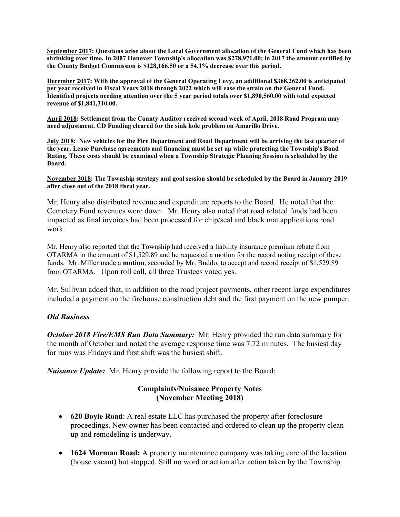**September 2017: Questions arise about the Local Government allocation of the General Fund which has been shrinking over time. In 2007 Hanover Township's allocation was \$278,971.00; in 2017 the amount certified by the County Budget Commission is \$128,166.50 or a 54.1% decrease over this period.** 

**December 2017: With the approval of the General Operating Levy, an additional \$368,262.00 is anticipated per year received in Fiscal Years 2018 through 2022 which will ease the strain on the General Fund. Identified projects needing attention over the 5 year period totals over \$1,890,560.00 with total expected revenue of \$1,841,310.00.** 

**April 2018: Settlement from the County Auditor received second week of April. 2018 Road Program may need adjustment. CD Funding cleared for the sink hole problem on Amarillo Drive.** 

**July 2018: New vehicles for the Fire Department and Road Department will be arriving the last quarter of the year. Lease Purchase agreements and financing must be set up while protecting the Township's Bond Rating. These costs should be examined when a Township Strategic Planning Session is scheduled by the Board.** 

**November 2018: The Township strategy and goal session should be scheduled by the Board in January 2019 after close out of the 2018 fiscal year.** 

Mr. Henry also distributed revenue and expenditure reports to the Board. He noted that the Cemetery Fund revenues were down. Mr. Henry also noted that road related funds had been impacted as final invoices had been processed for chip/seal and black mat applications road work.

Mr. Henry also reported that the Township had received a liability insurance premium rebate from OTARMA in the amount of \$1,529.89 and he requested a motion for the record noting receipt of these funds. Mr. Miller made a **motion**, seconded by Mr. Buddo, to accept and record receipt of \$1,529.89 from OTARMA. Upon roll call, all three Trustees voted yes.

Mr. Sullivan added that, in addition to the road project payments, other recent large expenditures included a payment on the firehouse construction debt and the first payment on the new pumper.

## *Old Business*

*October 2018 Fire/EMS Run Data Summary:* Mr. Henry provided the run data summary for the month of October and noted the average response time was 7.72 minutes. The busiest day for runs was Fridays and first shift was the busiest shift.

*Nuisance Update:* Mr. Henry provide the following report to the Board:

# **Complaints/Nuisance Property Notes (November Meeting 2018)**

- **620 Boyle Road**: A real estate LLC has purchased the property after foreclosure proceedings. New owner has been contacted and ordered to clean up the property clean up and remodeling is underway.
- **1624 Morman Road:** A property maintenance company was taking care of the location (house vacant) but stopped. Still no word or action after action taken by the Township.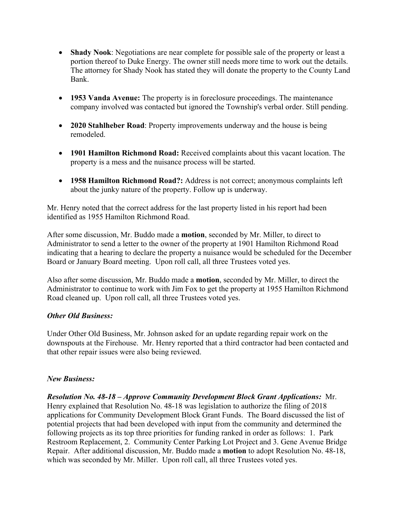- **Shady Nook**: Negotiations are near complete for possible sale of the property or least a portion thereof to Duke Energy. The owner still needs more time to work out the details. The attorney for Shady Nook has stated they will donate the property to the County Land Bank.
- **1953 Vanda Avenue:** The property is in foreclosure proceedings. The maintenance company involved was contacted but ignored the Township's verbal order. Still pending.
- **2020 Stahlheber Road**: Property improvements underway and the house is being remodeled.
- **1901 Hamilton Richmond Road:** Received complaints about this vacant location. The property is a mess and the nuisance process will be started.
- **1958 Hamilton Richmond Road?:** Address is not correct; anonymous complaints left about the junky nature of the property. Follow up is underway.

Mr. Henry noted that the correct address for the last property listed in his report had been identified as 1955 Hamilton Richmond Road.

After some discussion, Mr. Buddo made a **motion**, seconded by Mr. Miller, to direct to Administrator to send a letter to the owner of the property at 1901 Hamilton Richmond Road indicating that a hearing to declare the property a nuisance would be scheduled for the December Board or January Board meeting. Upon roll call, all three Trustees voted yes.

Also after some discussion, Mr. Buddo made a **motion**, seconded by Mr. Miller, to direct the Administrator to continue to work with Jim Fox to get the property at 1955 Hamilton Richmond Road cleaned up. Upon roll call, all three Trustees voted yes.

# *Other Old Business:*

Under Other Old Business, Mr. Johnson asked for an update regarding repair work on the downspouts at the Firehouse. Mr. Henry reported that a third contractor had been contacted and that other repair issues were also being reviewed.

# *New Business:*

*Resolution No. 48-18 – Approve Community Development Block Grant Applications:* Mr. Henry explained that Resolution No. 48-18 was legislation to authorize the filing of 2018 applications for Community Development Block Grant Funds. The Board discussed the list of potential projects that had been developed with input from the community and determined the following projects as its top three priorities for funding ranked in order as follows: 1. Park Restroom Replacement, 2. Community Center Parking Lot Project and 3. Gene Avenue Bridge Repair. After additional discussion, Mr. Buddo made a **motion** to adopt Resolution No. 48-18, which was seconded by Mr. Miller. Upon roll call, all three Trustees voted yes.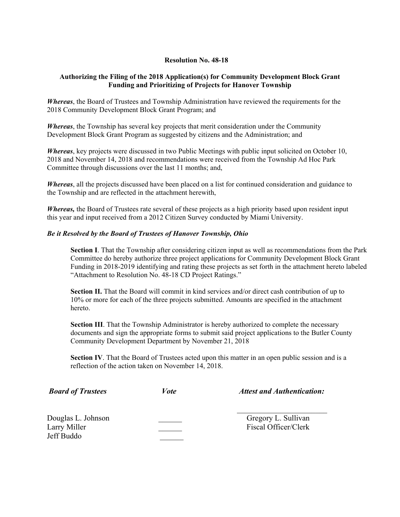#### **Resolution No. 48-18**

### **Authorizing the Filing of the 2018 Application(s) for Community Development Block Grant Funding and Prioritizing of Projects for Hanover Township**

*Whereas*, the Board of Trustees and Township Administration have reviewed the requirements for the 2018 Community Development Block Grant Program; and

*Whereas*, the Township has several key projects that merit consideration under the Community Development Block Grant Program as suggested by citizens and the Administration; and

*Whereas*, key projects were discussed in two Public Meetings with public input solicited on October 10, 2018 and November 14, 2018 and recommendations were received from the Township Ad Hoc Park Committee through discussions over the last 11 months; and,

*Whereas*, all the projects discussed have been placed on a list for continued consideration and guidance to the Township and are reflected in the attachment herewith,

*Whereas,* the Board of Trustees rate several of these projects as a high priority based upon resident input this year and input received from a 2012 Citizen Survey conducted by Miami University.

#### *Be it Resolved by the Board of Trustees of Hanover Township, Ohio*

**Section I**. That the Township after considering citizen input as well as recommendations from the Park Committee do hereby authorize three project applications for Community Development Block Grant Funding in 2018-2019 identifying and rating these projects as set forth in the attachment hereto labeled "Attachment to Resolution No. 48-18 CD Project Ratings."

**Section II.** That the Board will commit in kind services and/or direct cash contribution of up to 10% or more for each of the three projects submitted. Amounts are specified in the attachment hereto.

**Section III**. That the Township Administrator is hereby authorized to complete the necessary documents and sign the appropriate forms to submit said project applications to the Butler County Community Development Department by November 21, 2018

**Section IV**. That the Board of Trustees acted upon this matter in an open public session and is a reflection of the action taken on November 14, 2018.

| <b>Board of Trustees</b>                         | <i>Vote</i> | <b>Attest and Authentication:</b>           |
|--------------------------------------------------|-------------|---------------------------------------------|
| Douglas L. Johnson<br>Larry Miller<br>Jeff Buddo |             | Gregory L. Sullivan<br>Fiscal Officer/Clerk |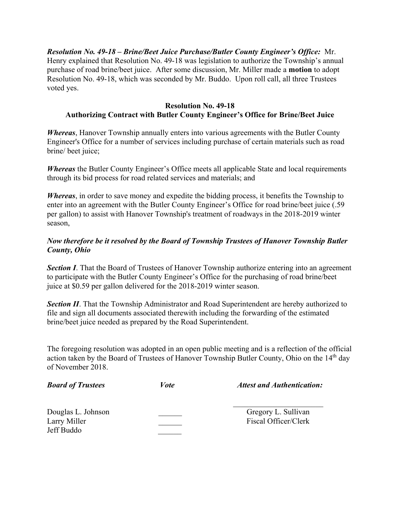*Resolution No. 49-18 – Brine/Beet Juice Purchase/Butler County Engineer's Office:* Mr. Henry explained that Resolution No. 49-18 was legislation to authorize the Township's annual purchase of road brine/beet juice. After some discussion, Mr. Miller made a **motion** to adopt Resolution No. 49-18, which was seconded by Mr. Buddo. Upon roll call, all three Trustees voted yes.

# **Resolution No. 49-18 Authorizing Contract with Butler County Engineer's Office for Brine/Beet Juice**

*Whereas*, Hanover Township annually enters into various agreements with the Butler County Engineer's Office for a number of services including purchase of certain materials such as road brine/ beet juice;

*Whereas* the Butler County Engineer's Office meets all applicable State and local requirements through its bid process for road related services and materials; and

*Whereas*, in order to save money and expedite the bidding process, it benefits the Township to enter into an agreement with the Butler County Engineer's Office for road brine/beet juice (.59 per gallon) to assist with Hanover Township's treatment of roadways in the 2018-2019 winter season,

# *Now therefore be it resolved by the Board of Township Trustees of Hanover Township Butler County, Ohio*

**Section I**. That the Board of Trustees of Hanover Township authorize entering into an agreement to participate with the Butler County Engineer's Office for the purchasing of road brine/beet juice at \$0.59 per gallon delivered for the 2018-2019 winter season.

**Section II**. That the Township Administrator and Road Superintendent are hereby authorized to file and sign all documents associated therewith including the forwarding of the estimated brine/beet juice needed as prepared by the Road Superintendent.

The foregoing resolution was adopted in an open public meeting and is a reflection of the official action taken by the Board of Trustees of Hanover Township Butler County, Ohio on the 14<sup>th</sup> day of November 2018.

| <b>Board of Trustees</b>                         | Vote | <b>Attest and Authentication:</b>           |
|--------------------------------------------------|------|---------------------------------------------|
| Douglas L. Johnson<br>Larry Miller<br>Jeff Buddo |      | Gregory L. Sullivan<br>Fiscal Officer/Clerk |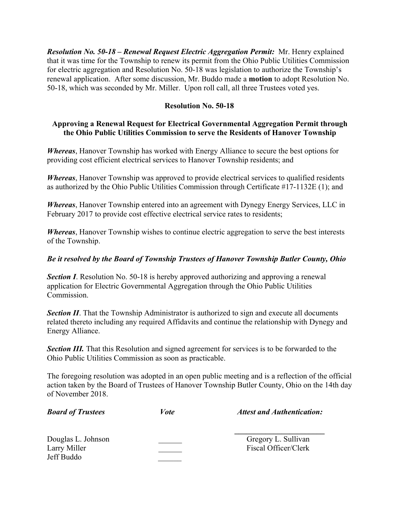*Resolution No. 50-18 – Renewal Request Electric Aggregation Permit:* Mr. Henry explained that it was time for the Township to renew its permit from the Ohio Public Utilities Commission for electric aggregation and Resolution No. 50-18 was legislation to authorize the Township's renewal application. After some discussion, Mr. Buddo made a **motion** to adopt Resolution No. 50-18, which was seconded by Mr. Miller. Upon roll call, all three Trustees voted yes.

## **Resolution No. 50-18**

# **Approving a Renewal Request for Electrical Governmental Aggregation Permit through the Ohio Public Utilities Commission to serve the Residents of Hanover Township**

*Whereas*, Hanover Township has worked with Energy Alliance to secure the best options for providing cost efficient electrical services to Hanover Township residents; and

*Whereas*, Hanover Township was approved to provide electrical services to qualified residents as authorized by the Ohio Public Utilities Commission through Certificate #17-1132E (1); and

*Whereas*, Hanover Township entered into an agreement with Dynegy Energy Services, LLC in February 2017 to provide cost effective electrical service rates to residents;

*Whereas*, Hanover Township wishes to continue electric aggregation to serve the best interests of the Township.

## *Be it resolved by the Board of Township Trustees of Hanover Township Butler County, Ohio*

*Section I*. Resolution No. 50-18 is hereby approved authorizing and approving a renewal application for Electric Governmental Aggregation through the Ohio Public Utilities Commission.

**Section II**. That the Township Administrator is authorized to sign and execute all documents related thereto including any required Affidavits and continue the relationship with Dynegy and Energy Alliance.

**Section III.** That this Resolution and signed agreement for services is to be forwarded to the Ohio Public Utilities Commission as soon as practicable.

The foregoing resolution was adopted in an open public meeting and is a reflection of the official action taken by the Board of Trustees of Hanover Township Butler County, Ohio on the 14th day of November 2018.

| <b>Board of Trustees</b>                         | <i>Vote</i> | <b>Attest and Authentication:</b>           |
|--------------------------------------------------|-------------|---------------------------------------------|
| Douglas L. Johnson<br>Larry Miller<br>Jeff Buddo |             | Gregory L. Sullivan<br>Fiscal Officer/Clerk |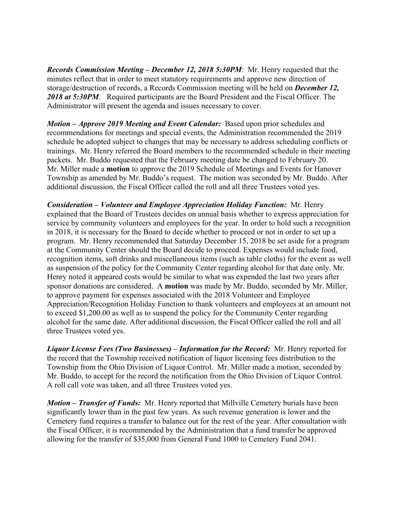*Records Commission Meeting – December 12, 2018 5:30PM*: Mr. Henry requested that the minutes reflect that in order to meet statutory requirements and approve new direction of storage/destruction of records, a Records Commission meeting will be held on *December 12, 2018 at 5:30PM*. Required participants are the Board President and the Fiscal Officer. The Administrator will present the agenda and issues necessary to cover.

*Motion – Approve 2019 Meeting and Event Calendar:* Based upon prior schedules and recommendations for meetings and special events, the Administration recommended the 2019 schedule be adopted subject to changes that may be necessary to address scheduling conflicts or trainings. Mr. Henry referred the Board members to the recommended schedule in their meeting packets. Mr. Buddo requested that the February meeting date be changed to February 20. Mr. Miller made a **motion** to approve the 2019 Schedule of Meetings and Events for Hanover Township as amended by Mr. Buddo's request. The motion was seconded by Mr. Buddo. After additional discussion, the Fiscal Officer called the roll and all three Trustees voted yes.

*Consideration – Volunteer and Employee Appreciation Holiday Function:* Mr. Henry explained that the Board of Trustees decides on annual basis whether to express appreciation for service by community volunteers and employees for the year. In order to hold such a recognition in 2018, it is necessary for the Board to decide whether to proceed or not in order to set up a program. Mr. Henry recommended that Saturday December 15, 2018 be set aside for a program at the Community Center should the Board decide to proceed. Expenses would include food, recognition items, soft drinks and miscellaneous items (such as table cloths) for the event as well as suspension of the policy for the Community Center regarding alcohol for that date only. Mr. Henry noted it appeared costs would be similar to what was expended the last two years after sponsor donations are considered. A **motion** was made by Mr. Buddo, seconded by Mr. Miller, to approve payment for expenses associated with the 2018 Volunteer and Employee Appreciation/Recognition Holiday Function to thank volunteers and employees at an amount not to exceed \$1,200.00 as well as to suspend the policy for the Community Center regarding alcohol for the same date. After additional discussion, the Fiscal Officer called the roll and all three Trustees voted yes.

*Liquor License Fees (Two Businesses) – Information for the Record:* Mr. Henry reported for the record that the Township received notification of liquor licensing fees distribution to the Township from the Ohio Division of Liquor Control. Mr. Miller made a motion, seconded by Mr. Buddo, to accept for the record the notification from the Ohio Division of Liquor Control. A roll call vote was taken, and all three Trustees voted yes.

*Motion – Transfer of Funds:* Mr. Henry reported that Millville Cemetery burials have been significantly lower than in the past few years. As such revenue generation is lower and the Cemetery fund requires a transfer to balance out for the rest of the year. After consultation with the Fiscal Officer, it is recommended by the Administration that a fund transfer be approved allowing for the transfer of \$35,000 from General Fund 1000 to Cemetery Fund 2041.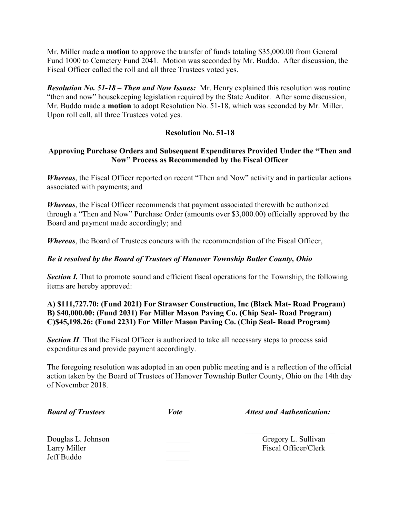Mr. Miller made a **motion** to approve the transfer of funds totaling \$35,000.00 from General Fund 1000 to Cemetery Fund 2041. Motion was seconded by Mr. Buddo. After discussion, the Fiscal Officer called the roll and all three Trustees voted yes.

*Resolution No. 51-18 – Then and Now Issues:* Mr. Henry explained this resolution was routine "then and now" housekeeping legislation required by the State Auditor. After some discussion, Mr. Buddo made a **motion** to adopt Resolution No. 51-18, which was seconded by Mr. Miller. Upon roll call, all three Trustees voted yes.

# **Resolution No. 51-18**

# **Approving Purchase Orders and Subsequent Expenditures Provided Under the "Then and Now" Process as Recommended by the Fiscal Officer**

*Whereas*, the Fiscal Officer reported on recent "Then and Now" activity and in particular actions associated with payments; and

*Whereas*, the Fiscal Officer recommends that payment associated therewith be authorized through a "Then and Now" Purchase Order (amounts over \$3,000.00) officially approved by the Board and payment made accordingly; and

*Whereas*, the Board of Trustees concurs with the recommendation of the Fiscal Officer,

## *Be it resolved by the Board of Trustees of Hanover Township Butler County, Ohio*

**Section I.** That to promote sound and efficient fiscal operations for the Township, the following items are hereby approved:

# **A) \$111,727.70: (Fund 2021) For Strawser Construction, Inc (Black Mat- Road Program) B) \$40,000.00: (Fund 2031) For Miller Mason Paving Co. (Chip Seal- Road Program) C)\$45,198.26: (Fund 2231) For Miller Mason Paving Co. (Chip Seal- Road Program)**

**Section II**. That the Fiscal Officer is authorized to take all necessary steps to process said expenditures and provide payment accordingly.

The foregoing resolution was adopted in an open public meeting and is a reflection of the official action taken by the Board of Trustees of Hanover Township Butler County, Ohio on the 14th day of November 2018.

| <b>Board of Trustees</b>           | <i>Vote</i> | <b>Attest and Authentication:</b>           |
|------------------------------------|-------------|---------------------------------------------|
| Douglas L. Johnson<br>Larry Miller |             | Gregory L. Sullivan<br>Fiscal Officer/Clerk |

Jeff Buddo